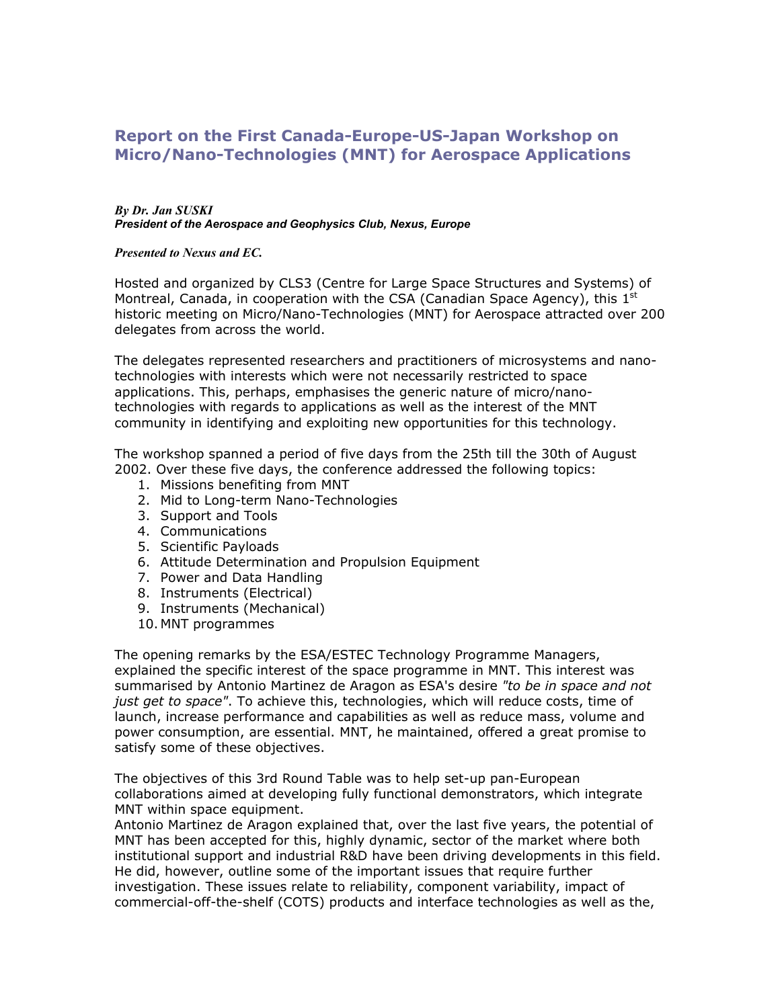## **Report on the First Canada-Europe-US-Japan Workshop on Micro/Nano-Technologies (MNT) for Aerospace Applications**

#### *By Dr. Jan SUSKI President of the Aerospace and Geophysics Club, Nexus, Europe*

#### *Presented to Nexus and EC.*

Hosted and organized by CLS3 (Centre for Large Space Structures and Systems) of Montreal, Canada, in cooperation with the CSA (Canadian Space Agency), this  $1<sup>st</sup>$ historic meeting on Micro/Nano-Technologies (MNT) for Aerospace attracted over 200 delegates from across the world.

The delegates represented researchers and practitioners of microsystems and nanotechnologies with interests which were not necessarily restricted to space applications. This, perhaps, emphasises the generic nature of micro/nanotechnologies with regards to applications as well as the interest of the MNT community in identifying and exploiting new opportunities for this technology.

The workshop spanned a period of five days from the 25th till the 30th of August 2002. Over these five days, the conference addressed the following topics:

- 1. Missions benefiting from MNT
- 2. Mid to Long-term Nano-Technologies
- 3. Support and Tools
- 4. Communications
- 5. Scientific Payloads
- 6. Attitude Determination and Propulsion Equipment
- 7. Power and Data Handling
- 8. Instruments (Electrical)
- 9. Instruments (Mechanical)
- 10. MNT programmes

The opening remarks by the ESA/ESTEC Technology Programme Managers, explained the specific interest of the space programme in MNT. This interest was summarised by Antonio Martinez de Aragon as ESA's desire *"to be in space and not just get to space"*. To achieve this, technologies, which will reduce costs, time of launch, increase performance and capabilities as well as reduce mass, volume and power consumption, are essential. MNT, he maintained, offered a great promise to satisfy some of these objectives.

The objectives of this 3rd Round Table was to help set-up pan-European collaborations aimed at developing fully functional demonstrators, which integrate MNT within space equipment.

Antonio Martinez de Aragon explained that, over the last five years, the potential of MNT has been accepted for this, highly dynamic, sector of the market where both institutional support and industrial R&D have been driving developments in this field. He did, however, outline some of the important issues that require further investigation. These issues relate to reliability, component variability, impact of commercial-off-the-shelf (COTS) products and interface technologies as well as the,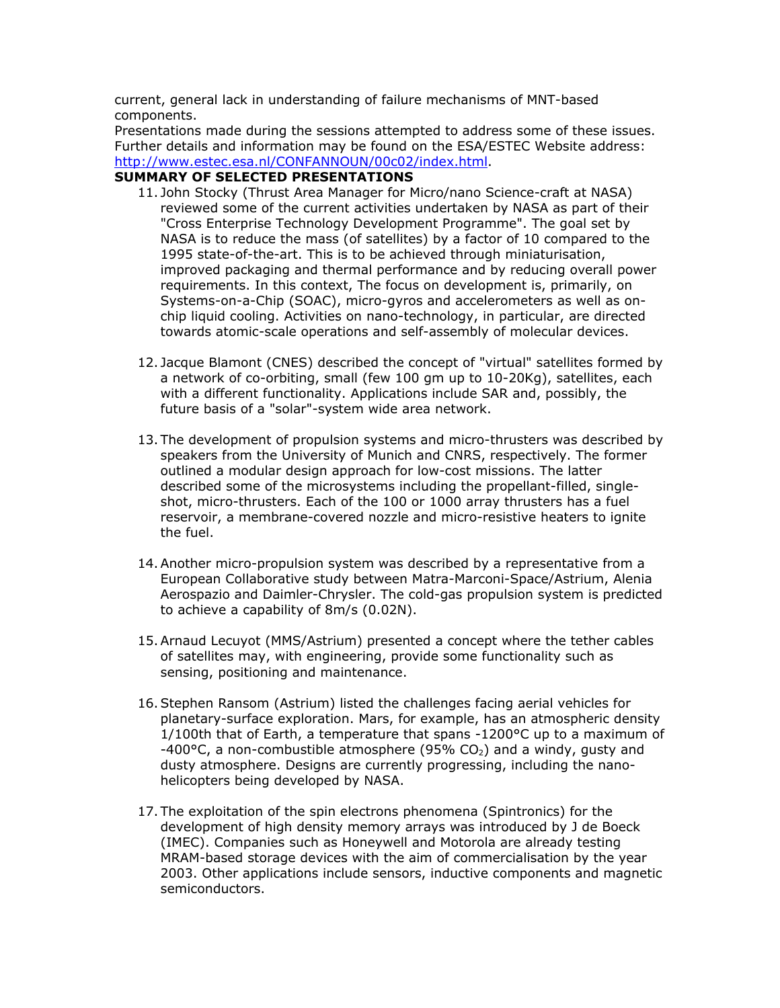current, general lack in understanding of failure mechanisms of MNT-based components.

Presentations made during the sessions attempted to address some of these issues. Further details and information may be found on the ESA/ESTEC Website address: http://www.estec.esa.nl/CONFANNOUN/00c02/index.html.

## **SUMMARY OF SELECTED PRESENTATIONS**

- 11. John Stocky (Thrust Area Manager for Micro/nano Science-craft at NASA) reviewed some of the current activities undertaken by NASA as part of their "Cross Enterprise Technology Development Programme". The goal set by NASA is to reduce the mass (of satellites) by a factor of 10 compared to the 1995 state-of-the-art. This is to be achieved through miniaturisation, improved packaging and thermal performance and by reducing overall power requirements. In this context, The focus on development is, primarily, on Systems-on-a-Chip (SOAC), micro-gyros and accelerometers as well as onchip liquid cooling. Activities on nano-technology, in particular, are directed towards atomic-scale operations and self-assembly of molecular devices.
- 12. Jacque Blamont (CNES) described the concept of "virtual" satellites formed by a network of co-orbiting, small (few 100 gm up to 10-20Kg), satellites, each with a different functionality. Applications include SAR and, possibly, the future basis of a "solar"-system wide area network.
- 13. The development of propulsion systems and micro-thrusters was described by speakers from the University of Munich and CNRS, respectively. The former outlined a modular design approach for low-cost missions. The latter described some of the microsystems including the propellant-filled, singleshot, micro-thrusters. Each of the 100 or 1000 array thrusters has a fuel reservoir, a membrane-covered nozzle and micro-resistive heaters to ignite the fuel.
- 14. Another micro-propulsion system was described by a representative from a European Collaborative study between Matra-Marconi-Space/Astrium, Alenia Aerospazio and Daimler-Chrysler. The cold-gas propulsion system is predicted to achieve a capability of 8m/s (0.02N).
- 15. Arnaud Lecuyot (MMS/Astrium) presented a concept where the tether cables of satellites may, with engineering, provide some functionality such as sensing, positioning and maintenance.
- 16. Stephen Ransom (Astrium) listed the challenges facing aerial vehicles for planetary-surface exploration. Mars, for example, has an atmospheric density 1/100th that of Earth, a temperature that spans -1200°C up to a maximum of -400 $\degree$ C, a non-combustible atmosphere (95% CO<sub>2</sub>) and a windy, gusty and dusty atmosphere. Designs are currently progressing, including the nanohelicopters being developed by NASA.
- 17. The exploitation of the spin electrons phenomena (Spintronics) for the development of high density memory arrays was introduced by J de Boeck (IMEC). Companies such as Honeywell and Motorola are already testing MRAM-based storage devices with the aim of commercialisation by the year 2003. Other applications include sensors, inductive components and magnetic semiconductors.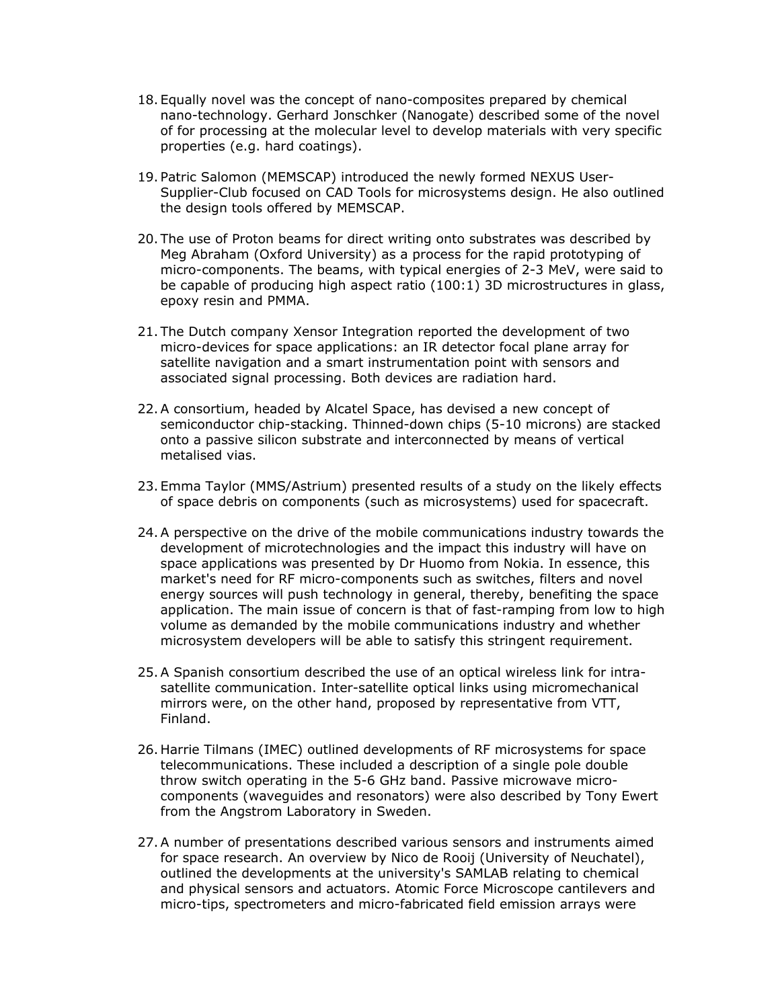- 18. Equally novel was the concept of nano-composites prepared by chemical nano-technology. Gerhard Jonschker (Nanogate) described some of the novel of for processing at the molecular level to develop materials with very specific properties (e.g. hard coatings).
- 19. Patric Salomon (MEMSCAP) introduced the newly formed NEXUS User-Supplier-Club focused on CAD Tools for microsystems design. He also outlined the design tools offered by MEMSCAP.
- 20. The use of Proton beams for direct writing onto substrates was described by Meg Abraham (Oxford University) as a process for the rapid prototyping of micro-components. The beams, with typical energies of 2-3 MeV, were said to be capable of producing high aspect ratio (100:1) 3D microstructures in glass, epoxy resin and PMMA.
- 21. The Dutch company Xensor Integration reported the development of two micro-devices for space applications: an IR detector focal plane array for satellite navigation and a smart instrumentation point with sensors and associated signal processing. Both devices are radiation hard.
- 22. A consortium, headed by Alcatel Space, has devised a new concept of semiconductor chip-stacking. Thinned-down chips (5-10 microns) are stacked onto a passive silicon substrate and interconnected by means of vertical metalised vias.
- 23. Emma Taylor (MMS/Astrium) presented results of a study on the likely effects of space debris on components (such as microsystems) used for spacecraft.
- 24. A perspective on the drive of the mobile communications industry towards the development of microtechnologies and the impact this industry will have on space applications was presented by Dr Huomo from Nokia. In essence, this market's need for RF micro-components such as switches, filters and novel energy sources will push technology in general, thereby, benefiting the space application. The main issue of concern is that of fast-ramping from low to high volume as demanded by the mobile communications industry and whether microsystem developers will be able to satisfy this stringent requirement.
- 25. A Spanish consortium described the use of an optical wireless link for intrasatellite communication. Inter-satellite optical links using micromechanical mirrors were, on the other hand, proposed by representative from VTT, Finland.
- 26. Harrie Tilmans (IMEC) outlined developments of RF microsystems for space telecommunications. These included a description of a single pole double throw switch operating in the 5-6 GHz band. Passive microwave microcomponents (waveguides and resonators) were also described by Tony Ewert from the Angstrom Laboratory in Sweden.
- 27. A number of presentations described various sensors and instruments aimed for space research. An overview by Nico de Rooij (University of Neuchatel), outlined the developments at the university's SAMLAB relating to chemical and physical sensors and actuators. Atomic Force Microscope cantilevers and micro-tips, spectrometers and micro-fabricated field emission arrays were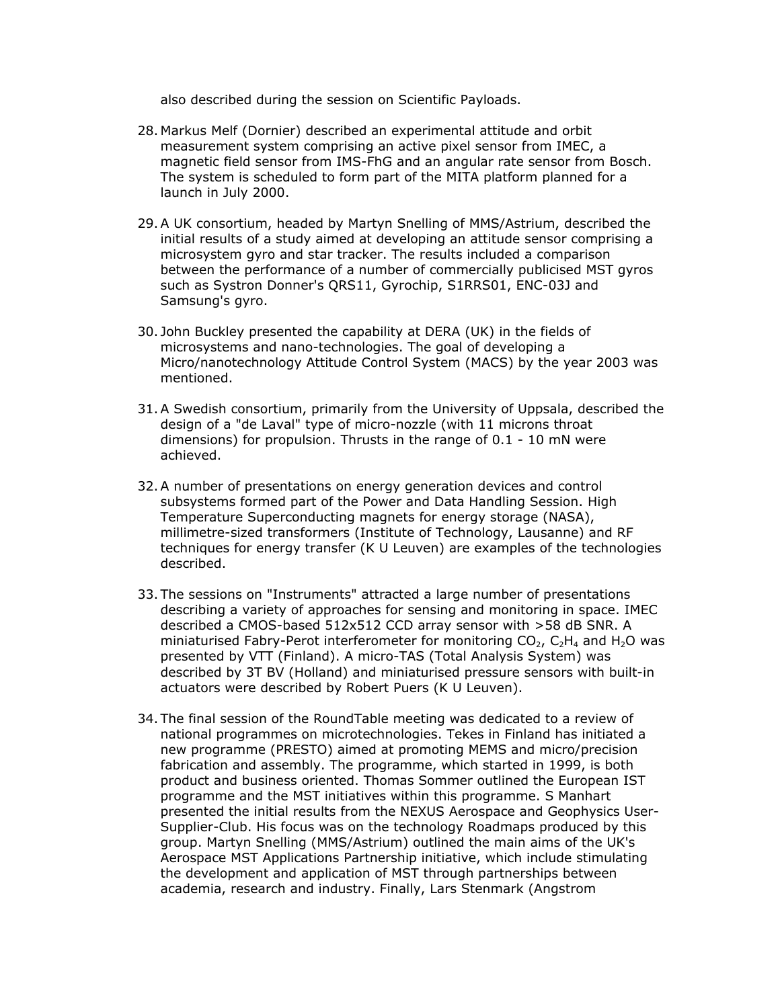also described during the session on Scientific Payloads.

- 28. Markus Melf (Dornier) described an experimental attitude and orbit measurement system comprising an active pixel sensor from IMEC, a magnetic field sensor from IMS-FhG and an angular rate sensor from Bosch. The system is scheduled to form part of the MITA platform planned for a launch in July 2000.
- 29. A UK consortium, headed by Martyn Snelling of MMS/Astrium, described the initial results of a study aimed at developing an attitude sensor comprising a microsystem gyro and star tracker. The results included a comparison between the performance of a number of commercially publicised MST gyros such as Systron Donner's QRS11, Gyrochip, S1RRS01, ENC-03J and Samsung's gyro.
- 30. John Buckley presented the capability at DERA (UK) in the fields of microsystems and nano-technologies. The goal of developing a Micro/nanotechnology Attitude Control System (MACS) by the year 2003 was mentioned.
- 31. A Swedish consortium, primarily from the University of Uppsala, described the design of a "de Laval" type of micro-nozzle (with 11 microns throat dimensions) for propulsion. Thrusts in the range of 0.1 - 10 mN were achieved.
- 32. A number of presentations on energy generation devices and control subsystems formed part of the Power and Data Handling Session. High Temperature Superconducting magnets for energy storage (NASA), millimetre-sized transformers (Institute of Technology, Lausanne) and RF techniques for energy transfer (K U Leuven) are examples of the technologies described.
- 33. The sessions on "Instruments" attracted a large number of presentations describing a variety of approaches for sensing and monitoring in space. IMEC described a CMOS-based 512x512 CCD array sensor with >58 dB SNR. A miniaturised Fabry-Perot interferometer for monitoring  $CO<sub>2</sub>$ ,  $C<sub>2</sub>H<sub>4</sub>$  and H<sub>2</sub>O was presented by VTT (Finland). A micro-TAS (Total Analysis System) was described by 3T BV (Holland) and miniaturised pressure sensors with built-in actuators were described by Robert Puers (K U Leuven).
- 34. The final session of the RoundTable meeting was dedicated to a review of national programmes on microtechnologies. Tekes in Finland has initiated a new programme (PRESTO) aimed at promoting MEMS and micro/precision fabrication and assembly. The programme, which started in 1999, is both product and business oriented. Thomas Sommer outlined the European IST programme and the MST initiatives within this programme. S Manhart presented the initial results from the NEXUS Aerospace and Geophysics User-Supplier-Club. His focus was on the technology Roadmaps produced by this group. Martyn Snelling (MMS/Astrium) outlined the main aims of the UK's Aerospace MST Applications Partnership initiative, which include stimulating the development and application of MST through partnerships between academia, research and industry. Finally, Lars Stenmark (Angstrom